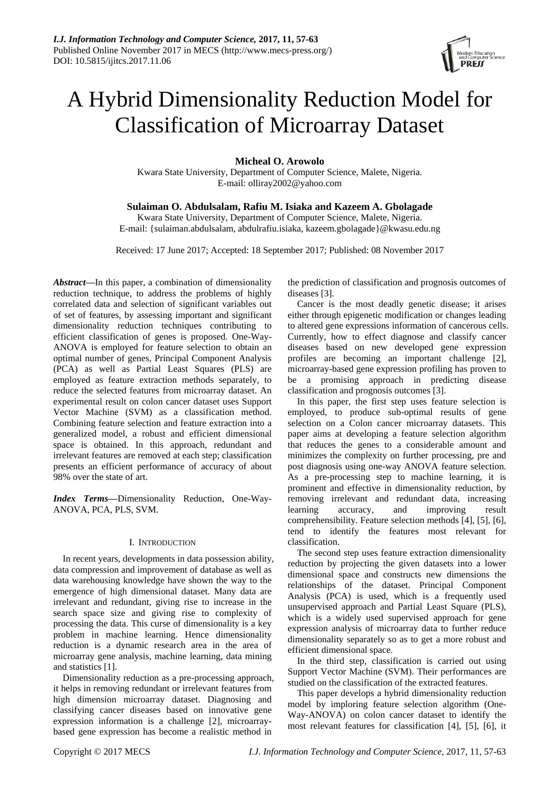# A Hybrid Dimensionality Reduction Model for Classification of Microarray Dataset

**Micheal O. Arowolo**

Kwara State University, Department of Computer Science, Malete, Nigeria. E-mail: olliray2002@yahoo.com

## **Sulaiman O. Abdulsalam, Rafiu M. Isiaka and Kazeem A. Gbolagade**

Kwara State University, Department of Computer Science, Malete, Nigeria. E-mail: {sulaiman.abdulsalam, abdulrafiu.isiaka, kazeem.gbolagade}@kwasu.edu.ng

Received: 17 June 2017; Accepted: 18 September 2017; Published: 08 November 2017

*Abstract***—**In this paper, a combination of dimensionality reduction technique, to address the problems of highly correlated data and selection of significant variables out of set of features, by assessing important and significant dimensionality reduction techniques contributing to efficient classification of genes is proposed. One-Way-ANOVA is employed for feature selection to obtain an optimal number of genes, Principal Component Analysis (PCA) as well as Partial Least Squares (PLS) are employed as feature extraction methods separately, to reduce the selected features from microarray dataset. An experimental result on colon cancer dataset uses Support Vector Machine (SVM) as a classification method. Combining feature selection and feature extraction into a generalized model, a robust and efficient dimensional space is obtained. In this approach, redundant and irrelevant features are removed at each step; classification presents an efficient performance of accuracy of about 98% over the state of art.

*Index Terms***—**Dimensionality Reduction, One-Way-ANOVA, PCA, PLS, SVM.

#### I. INTRODUCTION

In recent years, developments in data possession ability, data compression and improvement of database as well as data warehousing knowledge have shown the way to the emergence of high dimensional dataset. Many data are irrelevant and redundant, giving rise to increase in the search space size and giving rise to complexity of processing the data. This curse of dimensionality is a key problem in machine learning. Hence dimensionality reduction is a dynamic research area in the area of microarray gene analysis, machine learning, data mining and statistics [1].

Dimensionality reduction as a pre-processing approach, it helps in removing redundant or irrelevant features from high dimension microarray dataset. Diagnosing and classifying cancer diseases based on innovative gene expression information is a challenge [2], microarraybased gene expression has become a realistic method in

the prediction of classification and prognosis outcomes of diseases [3].

Cancer is the most deadly genetic disease; it arises either through epigenetic modification or changes leading to altered gene expressions information of cancerous cells. Currently, how to effect diagnose and classify cancer diseases based on new developed gene expression profiles are becoming an important challenge [2], microarray-based gene expression profiling has proven to be a promising approach in predicting disease classification and prognosis outcomes [3].

In this paper, the first step uses feature selection is employed, to produce sub-optimal results of gene selection on a Colon cancer microarray datasets. This paper aims at developing a feature selection algorithm that reduces the genes to a considerable amount and minimizes the complexity on further processing, pre and post diagnosis using one-way ANOVA feature selection. As a pre-processing step to machine learning, it is prominent and effective in dimensionality reduction, by removing irrelevant and redundant data, increasing learning accuracy, and improving result comprehensibility. Feature selection methods [4], [5], [6], tend to identify the features most relevant for classification.

The second step uses feature extraction dimensionality reduction by projecting the given datasets into a lower dimensional space and constructs new dimensions the relationships of the dataset. Principal Component Analysis (PCA) is used, which is a frequently used unsupervised approach and Partial Least Square (PLS), which is a widely used supervised approach for gene expression analysis of microarray data to further reduce dimensionality separately so as to get a more robust and efficient dimensional space.

In the third step, classification is carried out using Support Vector Machine (SVM). Their performances are studied on the classification of the extracted features.

This paper develops a hybrid dimensionality reduction model by imploring feature selection algorithm (One-Way-ANOVA) on colon cancer dataset to identify the most relevant features for classification [4], [5], [6], it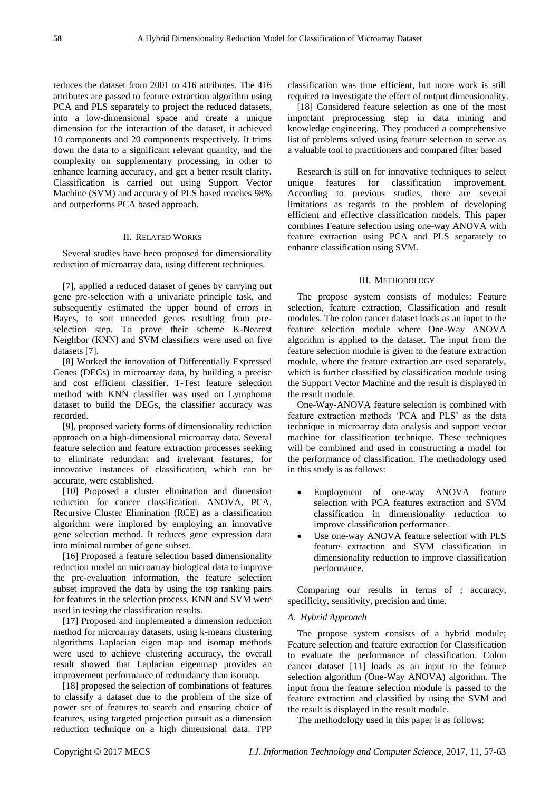reduces the dataset from 2001 to 416 attributes. The 416 attributes are passed to feature extraction algorithm using PCA and PLS separately to project the reduced datasets, into a low-dimensional space and create a unique dimension for the interaction of the dataset, it achieved 10 components and 20 components respectively. It trims down the data to a significant relevant quantity, and the complexity on supplementary processing, in other to enhance learning accuracy, and get a better result clarity. Classification is carried out using Support Vector Machine (SVM) and accuracy of PLS based reaches 98% and outperforms PCA based approach.

#### II. RELATED WORKS

Several studies have been proposed for dimensionality reduction of microarray data, using different techniques.

[7], applied a reduced dataset of genes by carrying out gene pre-selection with a univariate principle task, and subsequently estimated the upper bound of errors in Bayes, to sort unneeded genes resulting from preselection step. To prove their scheme K-Nearest Neighbor (KNN) and SVM classifiers were used on five datasets [7].

[8] Worked the innovation of Differentially Expressed Genes (DEGs) in microarray data, by building a precise and cost efficient classifier. T-Test feature selection method with KNN classifier was used on Lymphoma dataset to build the DEGs, the classifier accuracy was recorded.

[9], proposed variety forms of dimensionality reduction approach on a high-dimensional microarray data. Several feature selection and feature extraction processes seeking to eliminate redundant and irrelevant features, for innovative instances of classification, which can be accurate, were established.

[10] Proposed a cluster elimination and dimension reduction for cancer classification. ANOVA, PCA, Recursive Cluster Elimination (RCE) as a classification algorithm were implored by employing an innovative gene selection method. It reduces gene expression data into minimal number of gene subset.

[16] Proposed a feature selection based dimensionality reduction model on microarray biological data to improve the pre-evaluation information, the feature selection subset improved the data by using the top ranking pairs for features in the selection process, KNN and SVM were used in testing the classification results.

[17] Proposed and implemented a dimension reduction method for microarray datasets, using k-means clustering algorithms Laplacian eigen map and isomap methods were used to achieve clustering accuracy, the overall result showed that Laplacian eigenmap provides an improvement performance of redundancy than isomap.

[18] proposed the selection of combinations of features to classify a dataset due to the problem of the size of power set of features to search and ensuring choice of features, using targeted projection pursuit as a dimension reduction technique on a high dimensional data. TPP

classification was time efficient, but more work is still required to investigate the effect of output dimensionality.

[18] Considered feature selection as one of the most important preprocessing step in data mining and knowledge engineering. They produced a comprehensive list of problems solved using feature selection to serve as a valuable tool to practitioners and compared filter based

Research is still on for innovative techniques to select unique features for classification improvement. According to previous studies, there are several limitations as regards to the problem of developing efficient and effective classification models. This paper combines Feature selection using one-way ANOVA with feature extraction using PCA and PLS separately to enhance classification using SVM.

#### III. METHODOLOGY

The propose system consists of modules: Feature selection, feature extraction, Classification and result modules. The colon cancer dataset loads as an input to the feature selection module where One-Way ANOVA algorithm is applied to the dataset. The input from the feature selection module is given to the feature extraction module, where the feature extraction are used separately, which is further classified by classification module using the Support Vector Machine and the result is displayed in the result module.

One-Way-ANOVA feature selection is combined with feature extraction methods "PCA and PLS" as the data technique in microarray data analysis and support vector machine for classification technique. These techniques will be combined and used in constructing a model for the performance of classification. The methodology used in this study is as follows:

- Employment of one-way ANOVA feature selection with PCA features extraction and SVM classification in dimensionality reduction to improve classification performance.
- Use one-way ANOVA feature selection with PLS feature extraction and SVM classification in dimensionality reduction to improve classification performance.

Comparing our results in terms of ; accuracy, specificity, sensitivity, precision and time.

### *A. Hybrid Approach*

The propose system consists of a hybrid module; Feature selection and feature extraction for Classification to evaluate the performance of classification. Colon cancer dataset [11] loads as an input to the feature selection algorithm (One-Way ANOVA) algorithm. The input from the feature selection module is passed to the feature extraction and classified by using the SVM and the result is displayed in the result module.

The methodology used in this paper is as follows: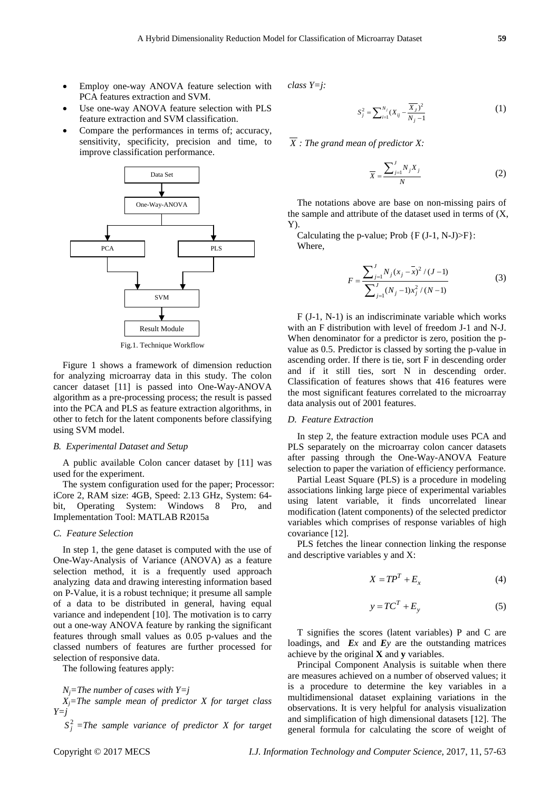- Employ one-way ANOVA feature selection with PCA features extraction and SVM.
- Use one-way ANOVA feature selection with PLS feature extraction and SVM classification.
- Compare the performances in terms of; accuracy, sensitivity, specificity, precision and time, to improve classification performance.



Fig.1. Technique Workflow

Figure 1 shows a framework of dimension reduction for analyzing microarray data in this study. The colon cancer dataset [11] is passed into One-Way-ANOVA algorithm as a pre-processing process; the result is passed into the PCA and PLS as feature extraction algorithms, in other to fetch for the latent components before classifying using SVM model.

#### *B. Experimental Dataset and Setup*

A public available Colon cancer dataset by [11] was used for the experiment.

The system configuration used for the paper; Processor: iCore 2, RAM size: 4GB, Speed: 2.13 GHz, System: 64 bit, Operating System: Windows 8 Pro, and Implementation Tool: MATLAB R2015a

#### *C. Feature Selection*

In step 1, the gene dataset is computed with the use of One-Way-Analysis of Variance (ANOVA) as a feature selection method, it is a frequently used approach analyzing data and drawing interesting information based on P-Value, it is a robust technique; it presume all sample of a data to be distributed in general, having equal variance and independent [10]. The motivation is to carry out a one-way ANOVA feature by ranking the significant features through small values as 0.05 p-values and the classed numbers of features are further processed for selection of responsive data.

The following features apply:

*N*<sup>*j*</sup>=*The number of cases with Y=j* 

*Xj=The sample mean of predictor X for target class Y=j*

 $S_j^2$  =The sample variance of predictor X for target

*class Y=j:*

$$
S_j^2 = \sum_{i=1}^{N_j} (X_{ij} - \frac{\overline{X}_j)^2}{N_j - 1}
$$
 (1)

*X : The grand mean of predictor X:*

$$
\overline{X} = \frac{\sum_{j=1}^{J} N_j X_j}{N} \tag{2}
$$

The notations above are base on non-missing pairs of the sample and attribute of the dataset used in terms of (X, Y).

Calculating the p-value; Prob  $\{F (J-1, N-J) > F\}$ : Where,

$$
F = \frac{\sum_{j=1}^{J} N_j (x_j - \bar{x})^2 / (J - 1)}{\sum_{j=1}^{J} (N_j - 1) x_j^2 / (N - 1)}
$$
(3)

F (J-1, N-1) is an indiscriminate variable which works with an F distribution with level of freedom J-1 and N-J. When denominator for a predictor is zero, position the pvalue as 0.5. Predictor is classed by sorting the p-value in ascending order. If there is tie, sort F in descending order and if it still ties, sort N in descending order. Classification of features shows that 416 features were the most significant features correlated to the microarray data analysis out of 2001 features.

#### *D. Feature Extraction*

In step 2, the feature extraction module uses PCA and PLS separately on the microarray colon cancer datasets after passing through the One-Way-ANOVA Feature selection to paper the variation of efficiency performance.

Partial Least Square (PLS) is a procedure in modeling associations linking large piece of experimental variables using latent variable, it finds uncorrelated linear modification (latent components) of the selected predictor variables which comprises of response variables of high covariance [12].

PLS fetches the linear connection linking the response and descriptive variables y and X:

$$
X = TP^T + E_x \tag{4}
$$

$$
y = TC^T + E_y \tag{5}
$$

T signifies the scores (latent variables) P and C are loadings, and *Ex* and *Ey* are the outstanding matrices achieve by the original **X** and **y** variables.

Principal Component Analysis is suitable when there are measures achieved on a number of observed values; it is a procedure to determine the key variables in a multidimensional dataset explaining variations in the observations. It is very helpful for analysis visualization and simplification of high dimensional datasets [12]. The general formula for calculating the score of weight of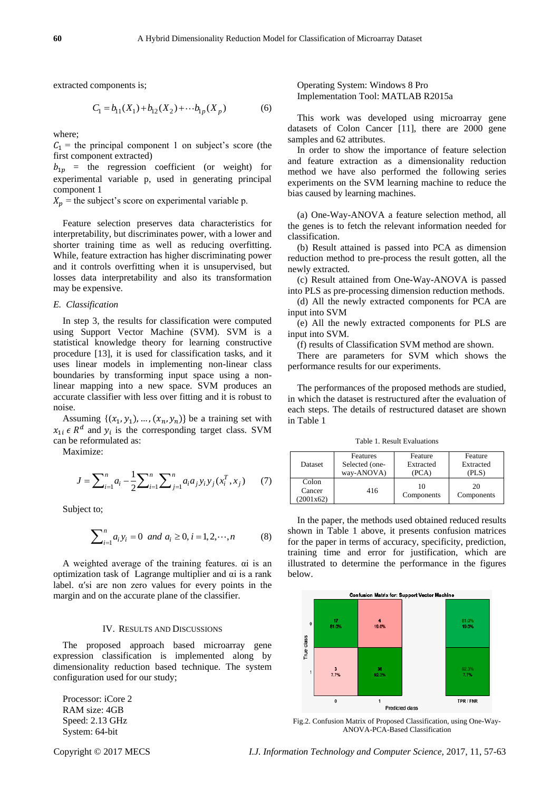extracted components is;

$$
C_1 = b_{11}(X_1) + b_{12}(X_2) + \cdots + b_{1p}(X_p)
$$
 (6)

where;

 $C_1$  = the principal component 1 on subject's score (the first component extracted)

 $b_{1p}$  = the regression coefficient (or weight) for experimental variable p, used in generating principal component 1

 $X_n$  = the subject's score on experimental variable p.

Feature selection preserves data characteristics for interpretability, but discriminates power, with a lower and shorter training time as well as reducing overfitting. While, feature extraction has higher discriminating power and it controls overfitting when it is unsupervised, but losses data interpretability and also its transformation may be expensive.

#### *E. Classification*

In step 3, the results for classification were computed using Support Vector Machine (SVM). SVM is a statistical knowledge theory for learning constructive procedure [13], it is used for classification tasks, and it uses linear models in implementing non-linear class boundaries by transforming input space using a nonlinear mapping into a new space. SVM produces an accurate classifier with less over fitting and it is robust to noise.

Assuming  $\{(x_1, y_1), \dots, (x_n, y_n)\}\$ be a training set with  $x_{1i} \in R^d$  and  $y_i$  is the corresponding target class. SVM can be reformulated as:

Maximize:

ximize:  

$$
J = \sum_{i=1}^{n} a_i - \frac{1}{2} \sum_{i=1}^{n} \sum_{j=1}^{n} a_i a_j y_i y_j (x_i^T, x_j)
$$
(7)

Subject to;

$$
\sum_{i=1}^{n} a_i y_i = 0 \text{ and } a_i \ge 0, i = 1, 2, \cdots, n
$$
 (8)

A weighted average of the training features. αi is an optimization task of Lagrange multiplier and αi is a rank label.  $\alpha$ 'si are non zero values for every points in the margin and on the accurate plane of the classifier.

#### IV. RESULTS AND DISCUSSIONS

The proposed approach based microarray gene expression classification is implemented along by dimensionality reduction based technique. The system configuration used for our study;

Processor: iCore 2 RAM size: 4GB Speed: 2.13 GHz System: 64-bit

Operating System: Windows 8 Pro Implementation Tool: MATLAB R2015a

This work was developed using microarray gene datasets of Colon Cancer [11], there are 2000 gene samples and 62 attributes.

In order to show the importance of feature selection and feature extraction as a dimensionality reduction method we have also performed the following series experiments on the SVM learning machine to reduce the bias caused by learning machines.

(a) One-Way-ANOVA a feature selection method, all the genes is to fetch the relevant information needed for classification.

(b) Result attained is passed into PCA as dimension reduction method to pre-process the result gotten, all the newly extracted.

(c) Result attained from One-Way-ANOVA is passed into PLS as pre-processing dimension reduction methods.

(d) All the newly extracted components for PCA are input into SVM

(e) All the newly extracted components for PLS are input into SVM.

(f) results of Classification SVM method are shown.

There are parameters for SVM which shows the performance results for our experiments.

The performances of the proposed methods are studied, in which the dataset is restructured after the evaluation of each steps. The details of restructured dataset are shown in Table 1

Table 1. Result Evaluations

| Dataset                      | Features       | Feature          | Feature          |
|------------------------------|----------------|------------------|------------------|
|                              | Selected (one- | Extracted        | Extracted        |
|                              | way-ANOVA)     | (PCA)            | (PLS)            |
| Colon<br>Cancer<br>(2001x62) | 416            | 10<br>Components | 20<br>Components |

In the paper, the methods used obtained reduced results shown in Table 1 above, it presents confusion matrices for the paper in terms of accuracy, specificity, prediction, training time and error for justification, which are illustrated to determine the performance in the figures below.



Fig.2. Confusion Matrix of Proposed Classification, using One-Way-ANOVA-PCA-Based Classification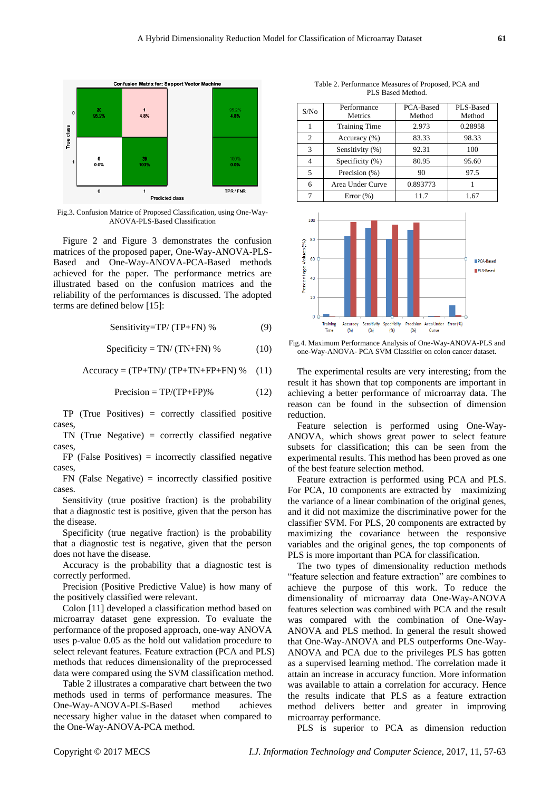

Fig.3. Confusion Matrice of Proposed Classification, using One-Way-ANOVA-PLS-Based Classification

Figure 2 and Figure 3 demonstrates the confusion matrices of the proposed paper, One-Way-ANOVA-PLS-Based and One-Way-ANOVA-PCA-Based methods achieved for the paper. The performance metrics are illustrated based on the confusion matrices and the reliability of the performances is discussed. The adopted terms are defined below [15]:

Sensitivity=TP/(TP+FN) % 
$$
(9)
$$

$$
Specificity = TN/(TN+FN) % \t(10)
$$

$$
Accuracy = (TP + TN) / (TP + TN + FP + FN) % (11)
$$

$$
Precision = TP/(TP + FP)\%
$$
 (12)

TP (True Positives) = correctly classified positive cases,

TN (True Negative) = correctly classified negative cases,

 $FP$  (False Positives) = incorrectly classified negative cases,

 $FN$  (False Negative) = incorrectly classified positive cases.

Sensitivity (true positive fraction) is the probability that a diagnostic test is positive, given that the person has the disease.

Specificity (true negative fraction) is the probability that a diagnostic test is negative, given that the person does not have the disease.

Accuracy is the probability that a diagnostic test is correctly performed.

Precision (Positive Predictive Value) is how many of the positively classified were relevant.

Colon [11] developed a classification method based on microarray dataset gene expression. To evaluate the performance of the proposed approach, one-way ANOVA uses p-value 0.05 as the hold out validation procedure to select relevant features. Feature extraction (PCA and PLS) methods that reduces dimensionality of the preprocessed data were compared using the SVM classification method.

Table 2 illustrates a comparative chart between the two methods used in terms of performance measures. The One-Way-ANOVA-PLS-Based method achieves necessary higher value in the dataset when compared to the One-Way-ANOVA-PCA method.

Table 2. Performance Measures of Proposed, PCA and PLS Based Method.

| S/No           | Performance<br>Metrics | PCA-Based<br>Method | PLS-Based<br>Method |
|----------------|------------------------|---------------------|---------------------|
|                | <b>Training Time</b>   | 2.973               | 0.28958             |
| $\overline{c}$ | Accuracy (%)           | 83.33               | 98.33               |
| 3              | Sensitivity (%)        | 92.31               | 100                 |
| 4              | Specificity (%)        | 80.95               | 95.60               |
| $\overline{5}$ | Precision (%)          | 90                  | 97.5                |
| 6              | Area Under Curve       | 0.893773            |                     |
|                | Error $(\%)$           | 11.7                | 1.67                |



Fig.4. Maximum Performance Analysis of One-Way-ANOVA-PLS and one-Way-ANOVA- PCA SVM Classifier on colon cancer dataset.

The experimental results are very interesting; from the result it has shown that top components are important in achieving a better performance of microarray data. The reason can be found in the subsection of dimension reduction.

Feature selection is performed using One-Way-ANOVA, which shows great power to select feature subsets for classification; this can be seen from the experimental results. This method has been proved as one of the best feature selection method.

Feature extraction is performed using PCA and PLS. For PCA, 10 components are extracted by maximizing the variance of a linear combination of the original genes, and it did not maximize the discriminative power for the classifier SVM. For PLS, 20 components are extracted by maximizing the covariance between the responsive variables and the original genes, the top components of PLS is more important than PCA for classification.

The two types of dimensionality reduction methods "feature selection and feature extraction" are combines to achieve the purpose of this work. To reduce the dimensionality of microarray data One-Way-ANOVA features selection was combined with PCA and the result was compared with the combination of One-Way-ANOVA and PLS method. In general the result showed that One-Way-ANOVA and PLS outperforms One-Way-ANOVA and PCA due to the privileges PLS has gotten as a supervised learning method. The correlation made it attain an increase in accuracy function. More information was available to attain a correlation for accuracy. Hence the results indicate that PLS as a feature extraction method delivers better and greater in improving microarray performance.

PLS is superior to PCA as dimension reduction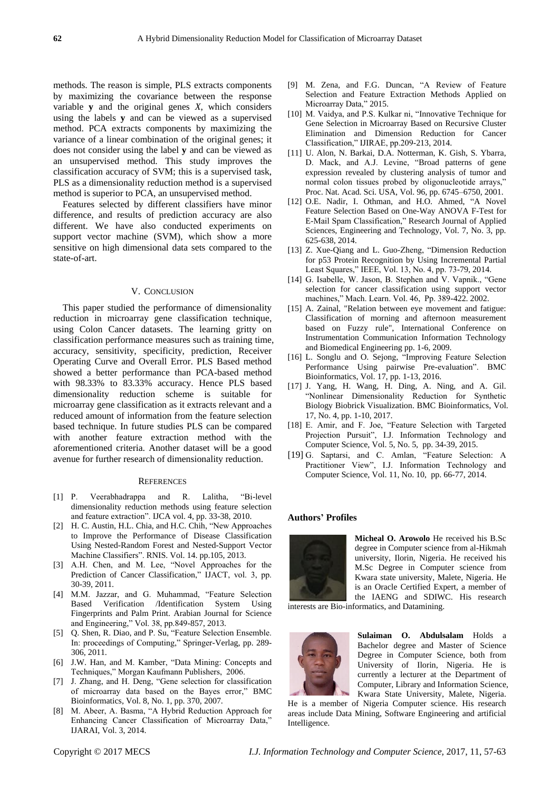methods. The reason is simple, PLS extracts components by maximizing the covariance between the response variable **y** and the original genes *X*, which considers using the labels **y** and can be viewed as a supervised method. PCA extracts components by maximizing the variance of a linear combination of the original genes; it does not consider using the label **y** and can be viewed as an unsupervised method. This study improves the classification accuracy of SVM; this is a supervised task, PLS as a dimensionality reduction method is a supervised method is superior to PCA, an unsupervised method.

Features selected by different classifiers have minor difference, and results of prediction accuracy are also different. We have also conducted experiments on support vector machine (SVM), which show a more sensitive on high dimensional data sets compared to the state-of-art.

#### V. CONCLUSION

This paper studied the performance of dimensionality reduction in microarray gene classification technique, using Colon Cancer datasets. The learning gritty on classification performance measures such as training time, accuracy, sensitivity, specificity, prediction, Receiver Operating Curve and Overall Error. PLS Based method showed a better performance than PCA-based method with 98.33% to 83.33% accuracy. Hence PLS based dimensionality reduction scheme is suitable for microarray gene classification as it extracts relevant and a reduced amount of information from the feature selection based technique. In future studies PLS can be compared with another feature extraction method with the aforementioned criteria. Another dataset will be a good avenue for further research of dimensionality reduction.

#### **REFERENCES**

- [1] P. Veerabhadrappa and R. Lalitha, "Bi-level dimensionality reduction methods using feature selection and feature extraction". IJCA vol. 4, pp. 33-38, 2010.
- [2] H. C. Austin, H.L. Chia, and H.C. Chih, "New Approaches to Improve the Performance of Disease Classification Using Nested-Random Forest and Nested-Support Vector Machine Classifiers". RNIS. Vol. 14. pp.105, 2013.
- [3] A.H. Chen, and M. Lee, "Novel Approaches for the Prediction of Cancer Classification," IJACT, vol. 3, pp. 30-39, 2011.
- [4] M.M. Jazzar, and G. Muhammad, "Feature Selection Based Verification /Identification System Using Fingerprints and Palm Print. Arabian Journal for Science and Engineering," Vol. 38, pp.849-857, 2013.
- [5] Q. Shen, R. Diao, and P. Su, "Feature Selection Ensemble. In: proceedings of Computing," Springer-Verlag, pp. 289- 306, 2011.
- [6] J.W. Han, and M. Kamber, "Data Mining: Concepts and Techniques," Morgan Kaufmann Publishers, 2006.
- [7] J. Zhang, and H. Deng, "Gene selection for classification of microarray data based on the Bayes error," BMC Bioinformatics, Vol. 8, No. 1, pp. 370, 2007.
- [8] M. Abeer, A. Basma, "A Hybrid Reduction Approach for Enhancing Cancer Classification of Microarray Data," IJARAI, Vol. 3, 2014.
- [9] M. Zena, and F.G. Duncan, "A Review of Feature Selection and Feature Extraction Methods Applied on Microarray Data," 2015.
- [10] M. Vaidya, and P.S. Kulkar ni, "Innovative Technique for Gene Selection in Microarray Based on Recursive Cluster Elimination and Dimension Reduction for Cancer Classification," IJIRAE, pp.209-213, 2014.
- [11] U. Alon, N. Barkai, D.A. Notterman, K. Gish, S. Ybarra, D. Mack, and A.J. Levine, "Broad patterns of gene expression revealed by clustering analysis of tumor and normal colon tissues probed by oligonucleotide arrays," Proc. Nat. Acad. Sci. USA, Vol. 96, pp. 6745–6750, 2001.
- [12] O.E. Nadir, I. Othman, and H.O. Ahmed, "A Novel Feature Selection Based on One-Way ANOVA F-Test for E-Mail Spam Classification," Research Journal of Applied Sciences, Engineering and Technology, Vol. 7, No. 3, pp. 625-638, 2014.
- [13] Z. Xue-Qiang and L. Guo-Zheng, "Dimension Reduction for p53 Protein Recognition by Using Incremental Partial Least Squares," IEEE, Vol. 13, No. 4, pp. 73-79, 2014.
- [14] G. Isabelle, W. Jason, B. Stephen and V. Vapnik., "Gene selection for cancer classification using support vector machines," Mach. Learn. Vol. 46, Pp. 389-422. 2002.
- [15] A. Zainal, "Relation between eye movement and fatigue: Classification of morning and afternoon measurement based on Fuzzy rule", International Conference on Instrumentation Communication Information Technology and Biomedical Engineering pp. 1-6, 2009.
- [16] L. Songlu and O. Sejong, "Improving Feature Selection Performance Using pairwise Pre-evaluation". BMC Bioinformatics, Vol. 17, pp. 1-13, 2016.
- [17] J. Yang, H. Wang, H. Ding, A. Ning, and A. Gil. "Nonlinear Dimensionality Reduction for Synthetic Biology Biobrick Visualization. BMC Bioinformatics, Vol. 17, No. 4, pp. 1-10, 2017.
- [18] E. Amir, and F. Joe, "Feature Selection with Targeted Projection Pursuit", I.J. Information Technology and Computer Science, Vol. 5, No. 5, pp. 34-39, 2015.
- [19] G. Saptarsi, and C. Amlan, "Feature Selection: A Practitioner View", I.J. Information Technology and Computer Science, Vol. 11, No. 10, pp. 66-77, 2014.

#### **Authors' Profiles**



**Micheal O. Arowolo** He received his B.Sc degree in Computer science from al-Hikmah university, Ilorin, Nigeria. He received his M.Sc Degree in Computer science from Kwara state university, Malete, Nigeria. He is an Oracle Certified Expert, a member of the IAENG and SDIWC. His research

interests are Bio-informatics, and Datamining.



**Sulaiman O. Abdulsalam** Holds a Bachelor degree and Master of Science Degree in Computer Science, both from University of Ilorin, Nigeria. He is currently a lecturer at the Department of Computer, Library and Information Science, Kwara State University, Malete, Nigeria.

He is a member of Nigeria Computer science. His research areas include Data Mining, Software Engineering and artificial Intelligence.